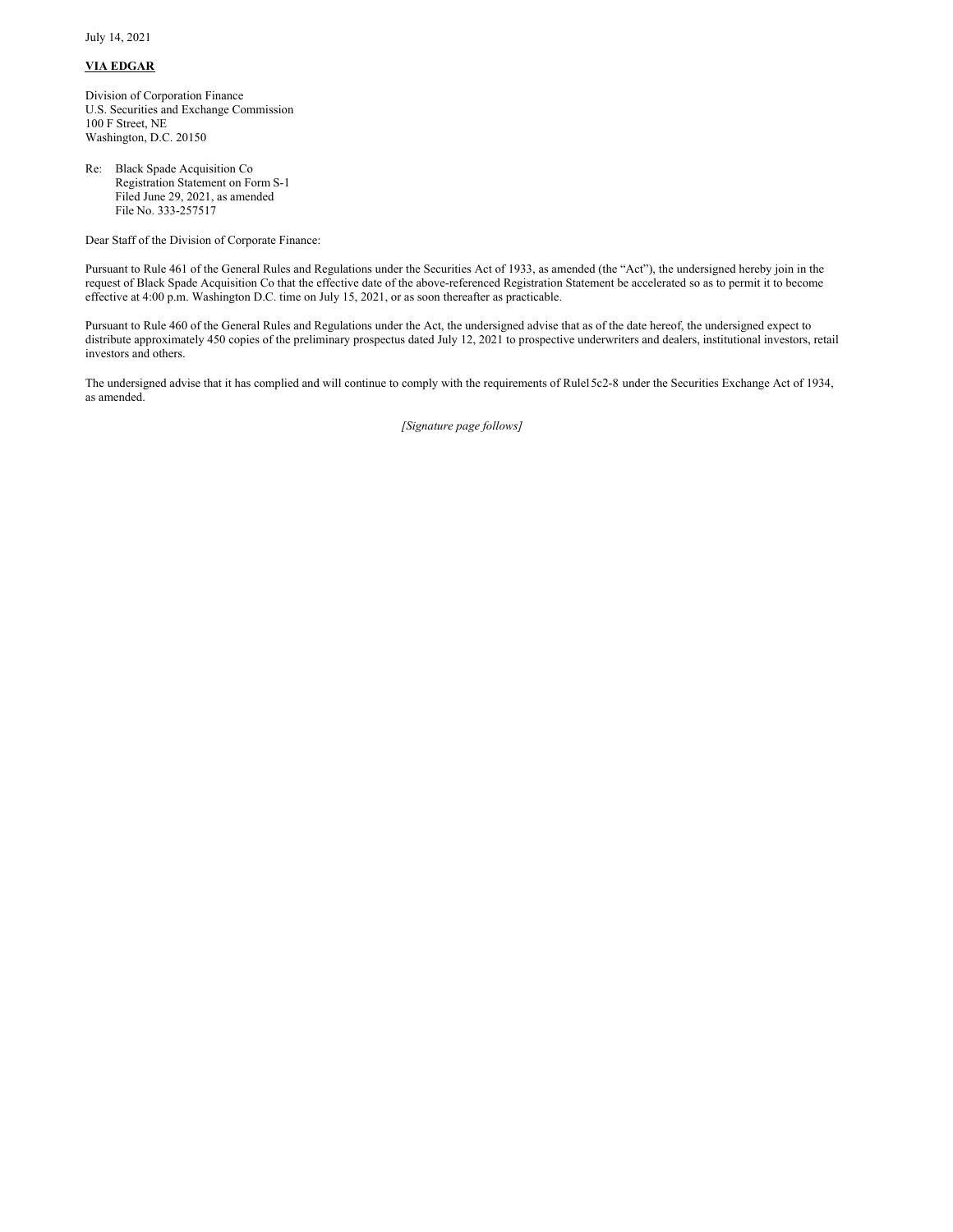July 14, 2021

## **VIA EDGAR**

Division of Corporation Finance U.S. Securities and Exchange Commission 100 F Street, NE Washington, D.C. 20150

Re: Black Spade Acquisition Co Registration Statement on Form S-1 Filed June 29, 2021, as amended File No. 333-257517

Dear Staff of the Division of Corporate Finance:

Pursuant to Rule 461 of the General Rules and Regulations under the Securities Act of 1933, as amended (the "Act"), the undersigned hereby join in the request of Black Spade Acquisition Co that the effective date of the above-referenced Registration Statement be accelerated so as to permit it to become effective at 4:00 p.m. Washington D.C. time on July 15, 2021, or as soon thereafter as practicable.

Pursuant to Rule 460 of the General Rules and Regulations under the Act, the undersigned advise that as of the date hereof, the undersigned expect to distribute approximately 450 copies of the preliminary prospectus dated July 12, 2021 to prospective underwriters and dealers, institutional investors, retail investors and others.

The undersigned advise that it has complied and will continue to comply with the requirements of Rule15c2-8 under the Securities Exchange Act of 1934, as amended.

*[Signature page follows]*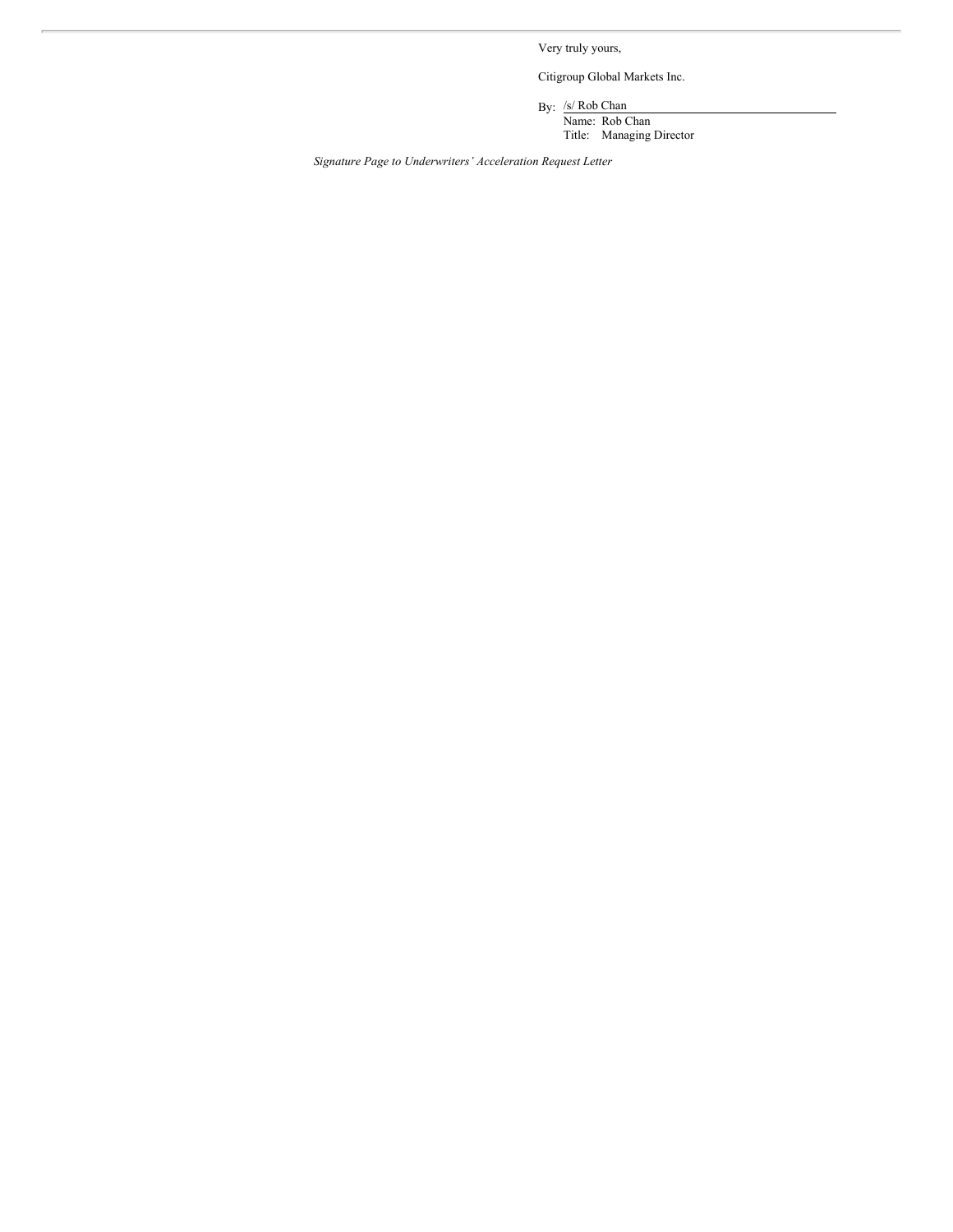Very truly yours,

Citigroup Global Markets Inc.

By: /s/ Rob Chan

Name: Rob Chan Title: Managing Director

*Signature Page to Underwriters' Acceleration Request Letter*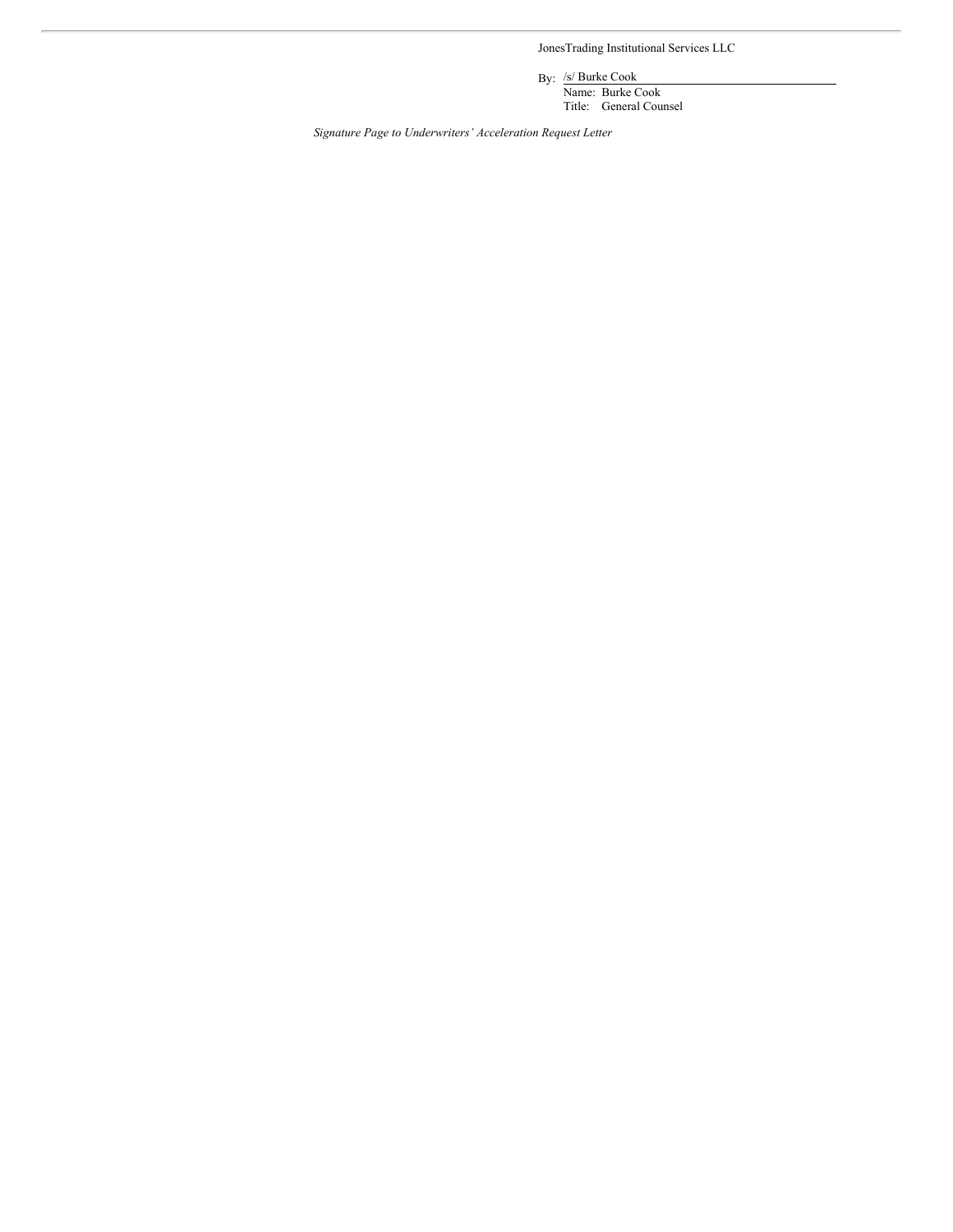JonesTrading Institutional Services LLC

By: /s/ Burke Cook

Name: Burke Cook Title: General Counsel

*Signature Page to Underwriters' Acceleration Request Letter*